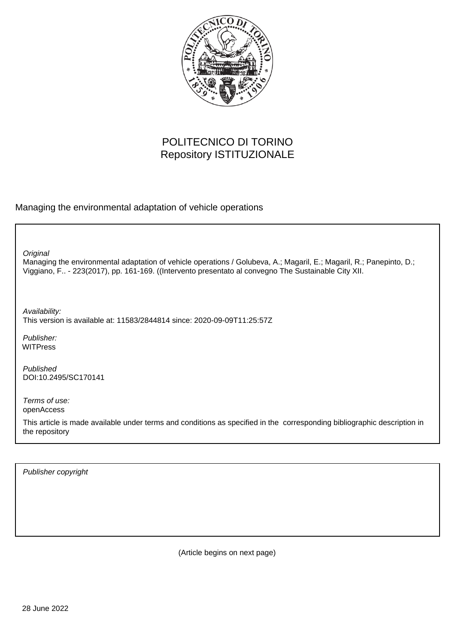

# POLITECNICO DI TORINO Repository ISTITUZIONALE

Managing the environmental adaptation of vehicle operations

**Original** 

Managing the environmental adaptation of vehicle operations / Golubeva, A.; Magaril, E.; Magaril, R.; Panepinto, D.; Viggiano, F.. - 223(2017), pp. 161-169. ((Intervento presentato al convegno The Sustainable City XII.

Availability: This version is available at: 11583/2844814 since: 2020-09-09T11:25:57Z

Publisher: WITPress

Published DOI:10.2495/SC170141

Terms of use: openAccess

This article is made available under terms and conditions as specified in the corresponding bibliographic description in the repository

Publisher copyright

(Article begins on next page)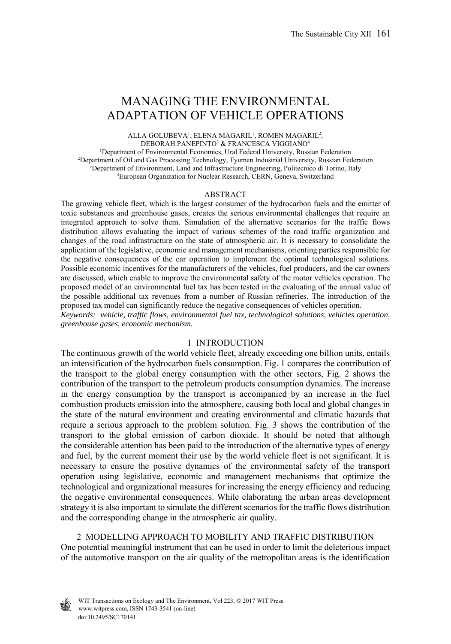## MANAGING THE ENVIRONMENTAL ADAPTATION OF VEHICLE OPERATIONS

ALLA GOLUBEVA<sup>1</sup>, ELENA MAGARIL<sup>1</sup>, ROMEN MAGARIL<sup>2</sup>, DEBORAH PANEPINTO3 & FRANCESCA VIGGIANO4

<sup>1</sup>Department of Environmental Economics, Ural Federal University, Russian Federation <sup>2</sup>Department of Oil and Gas Processing Technology, Tyuman Industrial University, Russian Federation <sup>2</sup>Department of Oil and Gas Processing Technology, Tyumen Industrial University, Russian Federation <sup>3</sup>Department of Environment, Land and Infrastructure Engineering, Politecnico di Torino, Italy European Organization for Nuclear Research, CERN, Geneva, Switzerland

#### ABSTRACT

The growing vehicle fleet, which is the largest consumer of the hydrocarbon fuels and the emitter of toxic substances and greenhouse gases, creates the serious environmental challenges that require an integrated approach to solve them. Simulation of the alternative scenarios for the traffic flows distribution allows evaluating the impact of various schemes of the road traffic organization and changes of the road infrastructure on the state of atmospheric air. It is necessary to consolidate the application of the legislative, economic and management mechanisms, orienting parties responsible for the negative consequences of the car operation to implement the optimal technological solutions. Possible economic incentives for the manufacturers of the vehicles, fuel producers, and the car owners are discussed, which enable to improve the environmental safety of the motor vehicles operation. The proposed model of an environmental fuel tax has been tested in the evaluating of the annual value of the possible additional tax revenues from a number of Russian refineries. The introduction of the proposed tax model can significantly reduce the negative consequences of vehicles operation.

*Keywords: vehicle, traffic flows, environmental fuel tax, technological solutions, vehicles operation, greenhouse gases, economic mechanism.* 

#### 1 INTRODUCTION

The continuous growth of the world vehicle fleet, already exceeding one billion units, entails an intensification of the hydrocarbon fuels consumption. Fig. 1 compares the contribution of the transport to the global energy consumption with the other sectors, Fig. 2 shows the contribution of the transport to the petroleum products consumption dynamics. The increase in the energy consumption by the transport is accompanied by an increase in the fuel combustion products emission into the atmosphere, causing both local and global changes in the state of the natural environment and creating environmental and climatic hazards that require a serious approach to the problem solution. Fig. 3 shows the contribution of the transport to the global emission of carbon dioxide. It should be noted that although the considerable attention has been paid to the introduction of the alternative types of energy and fuel, by the current moment their use by the world vehicle fleet is not significant. It is necessary to ensure the positive dynamics of the environmental safety of the transport operation using legislative, economic and management mechanisms that optimize the technological and organizational measures for increasing the energy efficiency and reducing the negative environmental consequences. While elaborating the urban areas development strategy it is also important to simulate the different scenarios for the traffic flows distribution and the corresponding change in the atmospheric air quality.

2 MODELLING APPROACH TO MOBILITY AND TRAFFIC DISTRIBUTION One potential meaningful instrument that can be used in order to limit the deleterious impact of the automotive transport on the air quality of the metropolitan areas is the identification

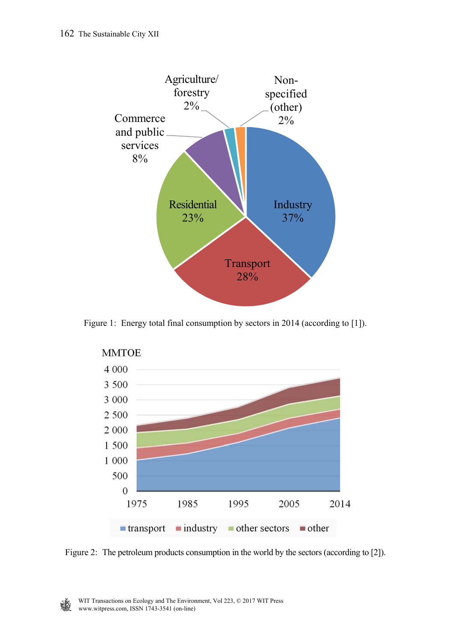

Figure 1: Energy total final consumption by sectors in 2014 (according to [1]).



Figure 2: The petroleum products consumption in the world by the sectors (according to [2]).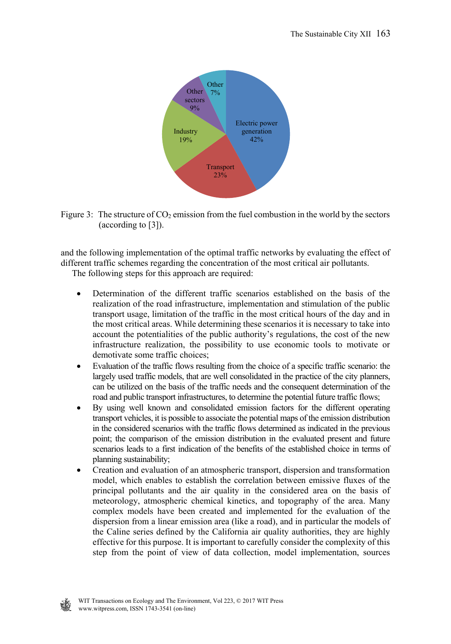

Figure 3: The structure of  $CO<sub>2</sub>$  emission from the fuel combustion in the world by the sectors (according to [3]).

and the following implementation of the optimal traffic networks by evaluating the effect of different traffic schemes regarding the concentration of the most critical air pollutants. The following steps for this approach are required:

- Determination of the different traffic scenarios established on the basis of the realization of the road infrastructure, implementation and stimulation of the public transport usage, limitation of the traffic in the most critical hours of the day and in the most critical areas. While determining these scenarios it is necessary to take into account the potentialities of the public authority's regulations, the cost of the new infrastructure realization, the possibility to use economic tools to motivate or demotivate some traffic choices;
- Evaluation of the traffic flows resulting from the choice of a specific traffic scenario: the largely used traffic models, that are well consolidated in the practice of the city planners, can be utilized on the basis of the traffic needs and the consequent determination of the road and public transport infrastructures, to determine the potential future traffic flows;
- By using well known and consolidated emission factors for the different operating transport vehicles, it is possible to associate the potential maps of the emission distribution in the considered scenarios with the traffic flows determined as indicated in the previous point; the comparison of the emission distribution in the evaluated present and future scenarios leads to a first indication of the benefits of the established choice in terms of planning sustainability;
- Creation and evaluation of an atmospheric transport, dispersion and transformation model, which enables to establish the correlation between emissive fluxes of the principal pollutants and the air quality in the considered area on the basis of meteorology, atmospheric chemical kinetics, and topography of the area. Many complex models have been created and implemented for the evaluation of the dispersion from a linear emission area (like a road), and in particular the models of the Caline series defined by the California air quality authorities, they are highly effective for this purpose. It is important to carefully consider the complexity of this step from the point of view of data collection, model implementation, sources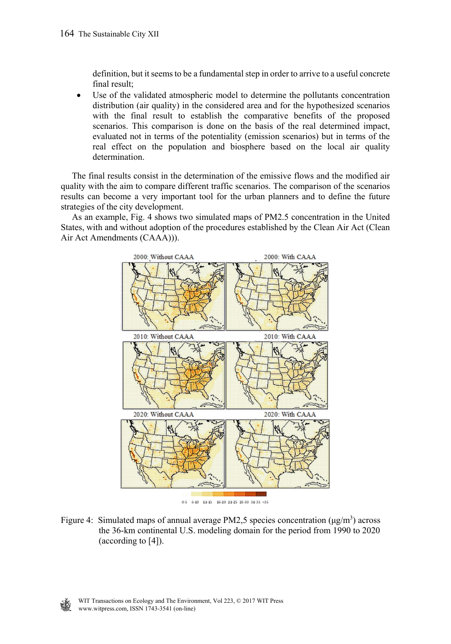definition, but it seems to be a fundamental step in order to arrive to a useful concrete final result;

 Use of the validated atmospheric model to determine the pollutants concentration distribution (air quality) in the considered area and for the hypothesized scenarios with the final result to establish the comparative benefits of the proposed scenarios. This comparison is done on the basis of the real determined impact, evaluated not in terms of the potentiality (emission scenarios) but in terms of the real effect on the population and biosphere based on the local air quality determination.

 The final results consist in the determination of the emissive flows and the modified air quality with the aim to compare different traffic scenarios. The comparison of the scenarios results can become a very important tool for the urban planners and to define the future strategies of the city development.

 As an example, Fig. 4 shows two simulated maps of PM2.5 concentration in the United States, with and without adoption of the procedures established by the Clean Air Act (Clean Air Act Amendments (CAAA))).



Figure 4: Simulated maps of annual average PM2,5 species concentration ( $\mu$ g/m<sup>3</sup>) across the 36-km continental U.S. modeling domain for the period from 1990 to 2020 (according to [4]).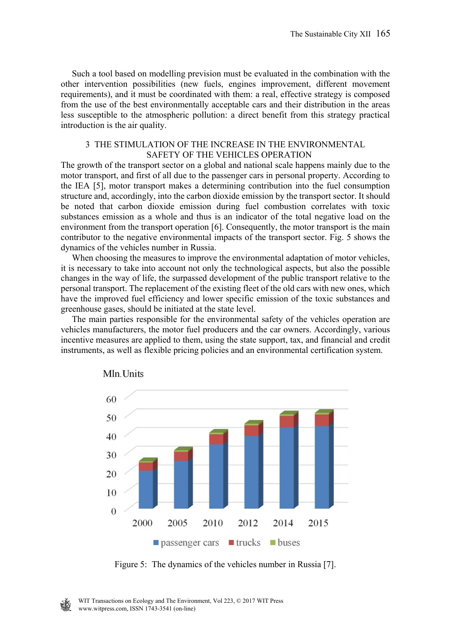Such a tool based on modelling prevision must be evaluated in the combination with the other intervention possibilities (new fuels, engines improvement, different movement requirements), and it must be coordinated with them: a real, effective strategy is composed from the use of the best environmentally acceptable cars and their distribution in the areas less susceptible to the atmospheric pollution: a direct benefit from this strategy practical introduction is the air quality.

### 3 THE STIMULATION OF THE INCREASE IN THE ENVIRONMENTAL SAFETY OF THE VEHICLES OPERATION

The growth of the transport sector on a global and national scale happens mainly due to the motor transport, and first of all due to the passenger cars in personal property. According to the IEA [5], motor transport makes a determining contribution into the fuel consumption structure and, accordingly, into the carbon dioxide emission by the transport sector. It should be noted that carbon dioxide emission during fuel combustion correlates with toxic substances emission as a whole and thus is an indicator of the total negative load on the environment from the transport operation [6]. Consequently, the motor transport is the main contributor to the negative environmental impacts of the transport sector. Fig. 5 shows the dynamics of the vehicles number in Russia.

 When choosing the measures to improve the environmental adaptation of motor vehicles, it is necessary to take into account not only the technological aspects, but also the possible changes in the way of life, the surpassed development of the public transport relative to the personal transport. The replacement of the existing fleet of the old cars with new ones, which have the improved fuel efficiency and lower specific emission of the toxic substances and greenhouse gases, should be initiated at the state level.

 The main parties responsible for the environmental safety of the vehicles operation are vehicles manufacturers, the motor fuel producers and the car owners. Accordingly, various incentive measures are applied to them, using the state support, tax, and financial and credit instruments, as well as flexible pricing policies and an environmental certification system.





Figure 5: The dynamics of the vehicles number in Russia [7].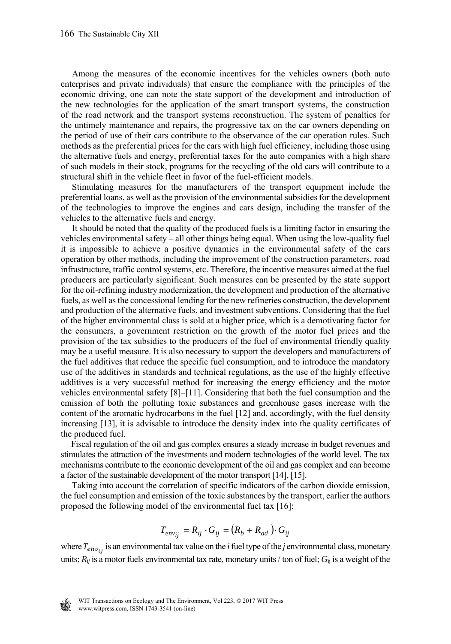Among the measures of the economic incentives for the vehicles owners (both auto enterprises and private individuals) that ensure the compliance with the principles of the economic driving, one can note the state support of the development and introduction of the new technologies for the application of the smart transport systems, the construction of the road network and the transport systems reconstruction. The system of penalties for the untimely maintenance and repairs, the progressive tax on the car owners depending on the period of use of their cars contribute to the observance of the car operation rules. Such methods as the preferential prices for the cars with high fuel efficiency, including those using the alternative fuels and energy, preferential taxes for the auto companies with a high share of such models in their stock, programs for the recycling of the old cars will contribute to a structural shift in the vehicle fleet in favor of the fuel-efficient models.

 Stimulating measures for the manufacturers of the transport equipment include the preferential loans, as well as the provision of the environmental subsidies for the development of the technologies to improve the engines and cars design, including the transfer of the vehicles to the alternative fuels and energy.

 It should be noted that the quality of the produced fuels is a limiting factor in ensuring the vehicles environmental safety – all other things being equal. When using the low-quality fuel it is impossible to achieve a positive dynamics in the environmental safety of the cars operation by other methods, including the improvement of the construction parameters, road infrastructure, traffic control systems, etc. Therefore, the incentive measures aimed at the fuel producers are particularly significant. Such measures can be presented by the state support for the oil-refining industry modernization, the development and production of the alternative fuels, as well as the concessional lending for the new refineries construction, the development and production of the alternative fuels, and investment subventions. Considering that the fuel of the higher environmental class is sold at a higher price, which is a demotivating factor for the consumers, a government restriction on the growth of the motor fuel prices and the provision of the tax subsidies to the producers of the fuel of environmental friendly quality may be a useful measure. It is also necessary to support the developers and manufacturers of the fuel additives that reduce the specific fuel consumption, and to introduce the mandatory use of the additives in standards and technical regulations, as the use of the highly effective additives is a very successful method for increasing the energy efficiency and the motor vehicles environmental safety [8]–[11]. Considering that both the fuel consumption and the emission of both the polluting toxic substances and greenhouse gases increase with the content of the aromatic hydrocarbons in the fuel [12] and, accordingly, with the fuel density increasing [13], it is advisable to introduce the density index into the quality certificates of the produced fuel.

 Fiscal regulation of the oil and gas complex ensures a steady increase in budget revenues and stimulates the attraction of the investments and modern technologies of the world level. The tax mechanisms contribute to the economic development of the oil and gas complex and can become a factor of the sustainable development of the motor transport [14], [15].

 Taking into account the correlation of specific indicators of the carbon dioxide emission, the fuel consumption and emission of the toxic substances by the transport, earlier the authors proposed the following model of the environmental fuel tax [16]:

$$
T_{env_{ij}} = R_{ij} \cdot G_{ij} = (R_b + R_{ad}) \cdot G_{ij}
$$

where  $T_{env_{ij}}$  is an environmental tax value on the *i* fuel type of the *j* environmental class, monetary units;  $R_{ij}$  is a motor fuels environmental tax rate, monetary units / ton of fuel;  $G_{ij}$  is a weight of the

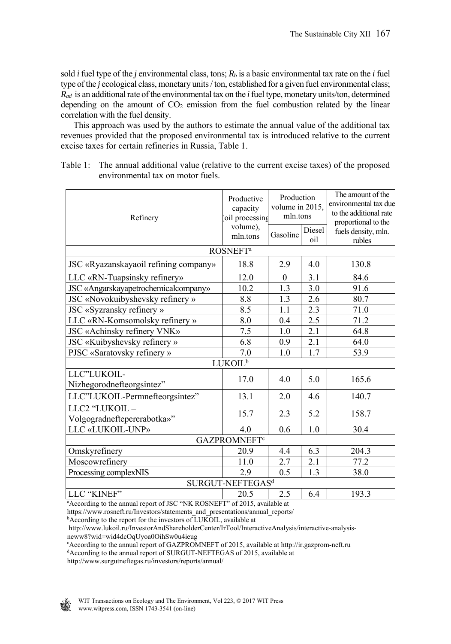sold *i* fuel type of the *j* environmental class, tons;  $R_b$  is a basic environmental tax rate on the *i* fuel type of the *j* ecological class, monetary units / ton, established for a given fuel environmental class; *Rad* is an additional rate of the environmental tax on the *i* fuel type, monetary units/ton, determined depending on the amount of  $CO<sub>2</sub>$  emission from the fuel combustion related by the linear correlation with the fuel density.

This approach was used by the authors to estimate the annual value of the additional tax revenues provided that the proposed environmental tax is introduced relative to the current excise taxes for certain refineries in Russia, Table 1.

| Table 1: The annual additional value (relative to the current excise taxes) of the proposed |
|---------------------------------------------------------------------------------------------|
| environmental tax on motor fuels.                                                           |

| Refinery                                                                              | Productive<br>capacity<br>oil processing<br>volume),<br>mln.tons | Production<br>volume in 2015,<br>mln.tons |               | The amount of the<br>environmental tax due<br>to the additional rate<br>proportional to the |  |  |
|---------------------------------------------------------------------------------------|------------------------------------------------------------------|-------------------------------------------|---------------|---------------------------------------------------------------------------------------------|--|--|
|                                                                                       |                                                                  | Gasoline                                  | Diesel<br>oil | fuels density, mln.<br>rubles                                                               |  |  |
| <b>ROSNEFT</b> <sup>a</sup>                                                           |                                                                  |                                           |               |                                                                                             |  |  |
| JSC «Ryazanskayaoil refining company»                                                 | 18.8                                                             | 2.9                                       | 4.0           | 130.8                                                                                       |  |  |
| LLC «RN-Tuapsinsky refinery»                                                          | 12.0                                                             | $\Omega$                                  | 3.1           | 84.6                                                                                        |  |  |
| JSC «Angarskayapetrochemicalcompany»                                                  | 10.2                                                             | 1.3                                       | 3.0           | 91.6                                                                                        |  |  |
| JSC «Novokuibyshevsky refinery »                                                      | 8.8                                                              | 1.3                                       | 2.6           | 80.7                                                                                        |  |  |
| JSC «Syzransky refinery »                                                             | 8.5                                                              | 1.1                                       | 2.3           | 71.0                                                                                        |  |  |
| LLC «RN-Komsomolsky refinery »                                                        | 8.0                                                              | 0.4                                       | 2.5           | 71.2                                                                                        |  |  |
| JSC «Achinsky refinery VNK»                                                           | 7.5                                                              | 1.0                                       | 2.1           | 64.8                                                                                        |  |  |
| JSC «Kuibyshevsky refinery »                                                          | 6.8                                                              | 0.9                                       | 2.1           | 64.0                                                                                        |  |  |
| PJSC «Saratovsky refinery »                                                           | 7.0                                                              | 1.0                                       | 1.7           | 53.9                                                                                        |  |  |
| $LUKOIL^b$                                                                            |                                                                  |                                           |               |                                                                                             |  |  |
| LLC"LUKOIL-<br>Nizhegorodnefteorgsintez"                                              | 17.0                                                             | 4.0                                       | 5.0           | 165.6                                                                                       |  |  |
| LLC"LUKOIL-Permnefteorgsintez"                                                        | 13.1                                                             | 2.0                                       | 4.6           | 140.7                                                                                       |  |  |
| LLC2 "LUKOIL -<br>Volgogradneftepererabotka»"                                         | 15.7                                                             | 2.3                                       | 5.2           | 158.7                                                                                       |  |  |
| LLC «LUKOIL-UNP»                                                                      | 4.0                                                              | 0.6                                       | 1.0           | 30.4                                                                                        |  |  |
| <b>GAZPROMNEFT</b> <sup>c</sup>                                                       |                                                                  |                                           |               |                                                                                             |  |  |
| Omskyrefinery                                                                         | 20.9                                                             | 4.4                                       | 6.3           | 204.3                                                                                       |  |  |
| Moscowrefinery                                                                        | 11.0                                                             | 2.7                                       | 2.1           | 77.2                                                                                        |  |  |
| Processing complexNIS                                                                 | 2.9                                                              | 0.5                                       | 1.3           | 38.0                                                                                        |  |  |
| SURGUT-NEFTEGAS <sup>d</sup>                                                          |                                                                  |                                           |               |                                                                                             |  |  |
| LLC "KINEF"                                                                           | 20.5                                                             | 2.5                                       | 6.4           | 193.3                                                                                       |  |  |
| <sup>a</sup> According to the annual report of JSC "NK ROSNEFT" of 2015, available at |                                                                  |                                           |               |                                                                                             |  |  |

https://www.rosneft.ru/Investors/statements\_and\_presentations/annual\_reports/

<sup>b</sup>According to the report for the investors of LUKOIL, available at

According to the annual report of SURGUT-NEFTEGAS of 2015, available at

http://www.surgutneftegas.ru/investors/reports/annual/

http://www.lukoil.ru/InvestorAndShareholderCenter/IrTool/InteractiveAnalysis/interactive-analysisneww8?wid=wid4dcOqUyoa0OihSw0u4ieug

<sup>&</sup>lt;sup>e</sup> According to the annual report of GAZPROMNEFT of 2015, available <u>at http://ir.gazprom-neft.ru</u><br><sup>d</sup>According to the annual report of SURGUT-NEETEGAS of 2015, available at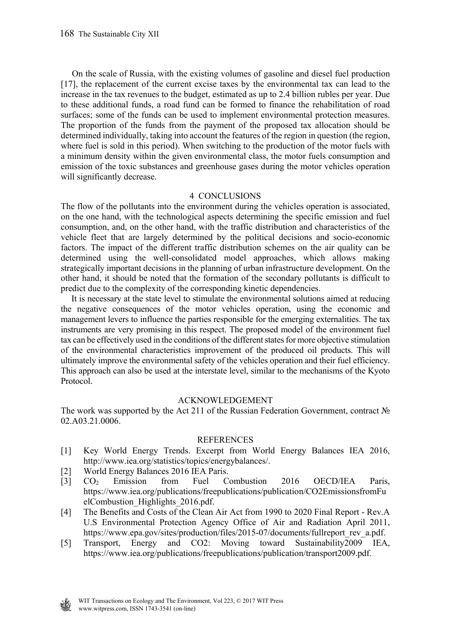On the scale of Russia, with the existing volumes of gasoline and diesel fuel production [17], the replacement of the current excise taxes by the environmental tax can lead to the increase in the tax revenues to the budget, estimated as up to 2.4 billion rubles per year. Due to these additional funds, a road fund can be formed to finance the rehabilitation of road surfaces; some of the funds can be used to implement environmental protection measures. The proportion of the funds from the payment of the proposed tax allocation should be determined individually, taking into account the features of the region in question (the region, where fuel is sold in this period). When switching to the production of the motor fuels with a minimum density within the given environmental class, the motor fuels consumption and emission of the toxic substances and greenhouse gases during the motor vehicles operation will significantly decrease.

### 4 CONCLUSIONS

The flow of the pollutants into the environment during the vehicles operation is associated, on the one hand, with the technological aspects determining the specific emission and fuel consumption, and, on the other hand, with the traffic distribution and characteristics of the vehicle fleet that are largely determined by the political decisions and socio-economic factors. The impact of the different traffic distribution schemes on the air quality can be determined using the well-consolidated model approaches, which allows making strategically important decisions in the planning of urban infrastructure development. On the other hand, it should be noted that the formation of the secondary pollutants is difficult to predict due to the complexity of the corresponding kinetic dependencies.

 It is necessary at the state level to stimulate the environmental solutions aimed at reducing the negative consequences of the motor vehicles operation, using the economic and management levers to influence the parties responsible for the emerging externalities. The tax instruments are very promising in this respect. The proposed model of the environment fuel tax can be effectively used in the conditions of the different states for more objective stimulation of the environmental characteristics improvement of the produced oil products. This will ultimately improve the environmental safety of the vehicles operation and their fuel efficiency. This approach can also be used at the interstate level, similar to the mechanisms of the Kyoto Protocol.

### ACKNOWLEDGEMENT

The work was supported by the Act 211 of the Russian Federation Government, contract № 02.A03.21.0006.

#### **REFERENCES**

- [1] Key World Energy Trends. Excerpt from World Energy Balances IEA 2016, http://www.iea.org/statistics/topics/energybalances/.
- [2] World Energy Balances 2016 IEA Paris.
- [3] CO2 Emission from Fuel Combustion 2016 OECD/IEA Paris, https://www.iea.org/publications/freepublications/publication/CO2EmissionsfromFu elCombustion\_Highlights\_2016.pdf.
- [4] The Benefits and Costs of the Clean Air Act from 1990 to 2020 Final Report Rev.A U.S Environmental Protection Agency Office of Air and Radiation April 2011, https://www.epa.gov/sites/production/files/2015-07/documents/fullreport\_rev\_a.pdf.
- [5] Transport, Energy and CO2: Moving toward Sustainability2009 IEA, https://www.iea.org/publications/freepublications/publication/transport2009.pdf.